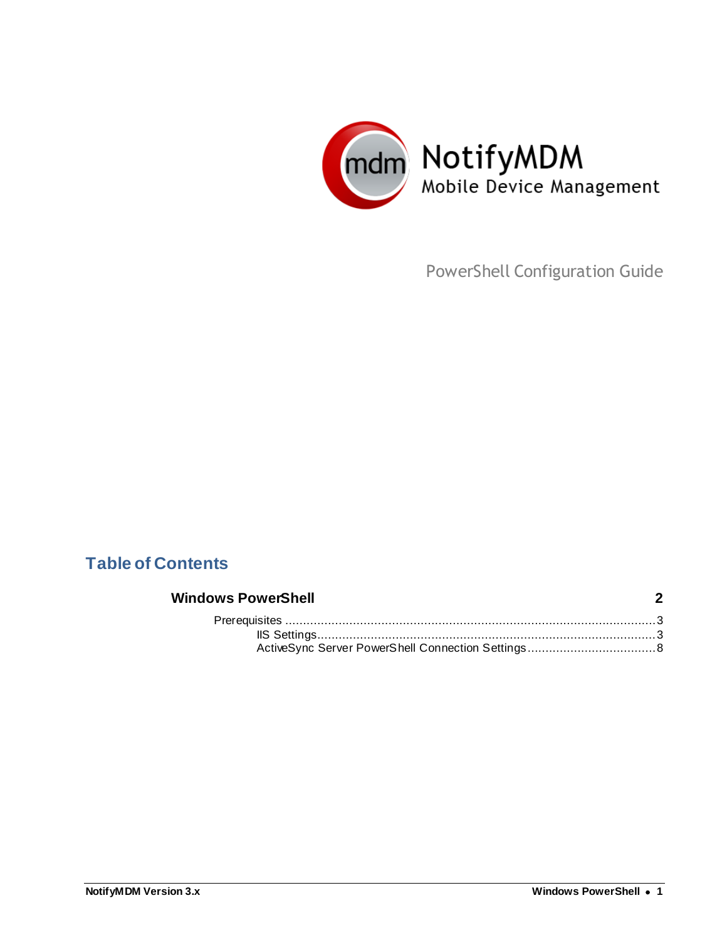

PowerShell Configuration Guide

## **Table of Contents**

### **[Windows PowerShell](#page-1-0) 2** Prerequisites [........................................................................................................3](#page-2-0) [IIS Settings...............................................................................................3](#page-2-1) [ActiveSync Server PowerShell Connection Settings....................................8](#page-7-0)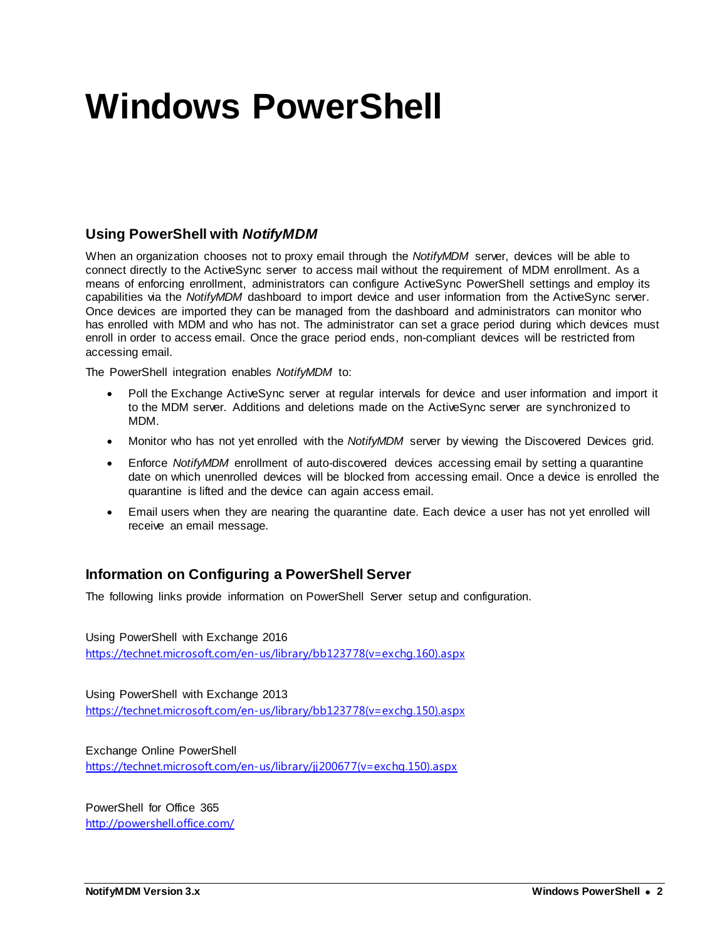# <span id="page-1-0"></span>**Windows PowerShell**

## **Using PowerShell with** *NotifyMDM*

When an organization chooses not to proxy email through the *NotifyMDM* server, devices will be able to connect directly to the ActiveSync server to access mail without the requirement of MDM enrollment. As a means of enforcing enrollment, administrators can configure ActiveSync PowerShell settings and employ its capabilities via the *NotifyMDM* dashboard to import device and user information from the ActiveSync server. Once devices are imported they can be managed from the dashboard and administrators can monitor who has enrolled with MDM and who has not. The administrator can set a grace period during which devices must enroll in order to access email. Once the grace period ends, non-compliant devices will be restricted from accessing email.

The PowerShell integration enables *NotifyMDM* to:

- Poll the Exchange ActiveSync server at regular intervals for device and user information and import it to the MDM server. Additions and deletions made on the ActiveSync server are synchronized to MDM.
- Monitor who has not yet enrolled with the *NotifyMDM* server by viewing the Discovered Devices grid.
- Enforce *NotifyMDM* enrollment of auto-discovered devices accessing email by setting a quarantine date on which unenrolled devices will be blocked from accessing email. Once a device is enrolled the quarantine is lifted and the device can again access email.
- Email users when they are nearing the quarantine date. Each device a user has not yet enrolled will receive an email message.

## **Information on Configuring a PowerShell Server**

The following links provide information on PowerShell Server setup and configuration.

Using PowerShell with Exchange 2016 [https://technet.microsoft.com/en-us/library/bb123778\(v=exchg.160\).aspx](https://technet.microsoft.com/en-us/library/bb123778(v=exchg.160).aspx)

Using PowerShell with Exchange 2013 [https://technet.microsoft.com/en-us/library/bb123778\(v=exchg.150\).aspx](https://technet.microsoft.com/en-us/library/bb123778(v=exchg.150).aspx)

Exchange Online PowerShell [https://technet.microsoft.com/en-us/library/jj200677\(v=exchg.150\).aspx](https://technet.microsoft.com/en-us/library/jj200677(v=exchg.150).aspx)

PowerShell for Office 365 <http://powershell.office.com/>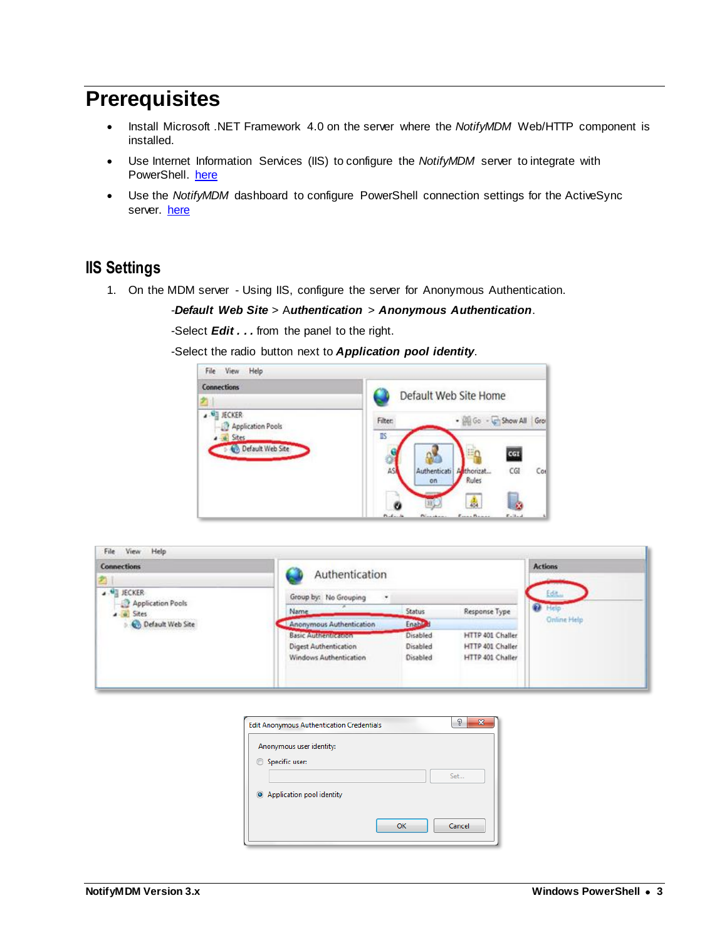## <span id="page-2-0"></span>**Prerequisites**

- Install Microsoft .NET Framework 4.0 on the server where the *NotifyMDM* Web/HTTP component is installed.
- Use Internet Information Services (IIS) to configure the *NotifyMDM* server to integrate with PowerShell. [here](#page-2-1)
- Use the *NotifyMDM* dashboard to configure PowerShell connection settings for the ActiveSync server. [here](#page-7-0)

## <span id="page-2-1"></span>**IIS Settings**

1. On the MDM server - Using IIS, configure the server for Anonymous Authentication.

-*Default Web Site* > A*uthentication* > *Anonymous Authentication*.

-Select *Edit . . .* from the panel to the right.

-Select the radio button next to *Application pool identity*.



| <b>Connections</b>                      | Authentication               |          |                  | <b>Actions</b>     |
|-----------------------------------------|------------------------------|----------|------------------|--------------------|
|                                         |                              |          |                  |                    |
| <b>A ME JECKER</b><br>Application Pools | Group by: No Grouping<br>٠   |          |                  | Edit               |
| $-9$ Sites                              | Name                         | Status   | Response Type    | Heip<br>$\alpha$   |
| O efault Web Site                       | Anonymous Authentication     | Enable a |                  | <b>Online Help</b> |
|                                         | <b>Basic Attriculterions</b> | Disabled | HTTP 401 Challer |                    |
|                                         | Digest Authentication        | Disabled | HTTP 401 Challer |                    |
|                                         | Windows Authentication       | Disabled | HTTP 401 Challer |                    |
|                                         |                              |          |                  |                    |

| <b>Edit Anonymous Authentication Credentials</b> |    | $\overline{\mathbf{x}}$<br>P |
|--------------------------------------------------|----|------------------------------|
| Anonymous user identity:                         |    |                              |
| Specific user:<br>$\circ$                        |    |                              |
|                                                  |    | Set                          |
| Application pool identity                        |    |                              |
|                                                  |    |                              |
|                                                  | OK | Cancel                       |
|                                                  |    |                              |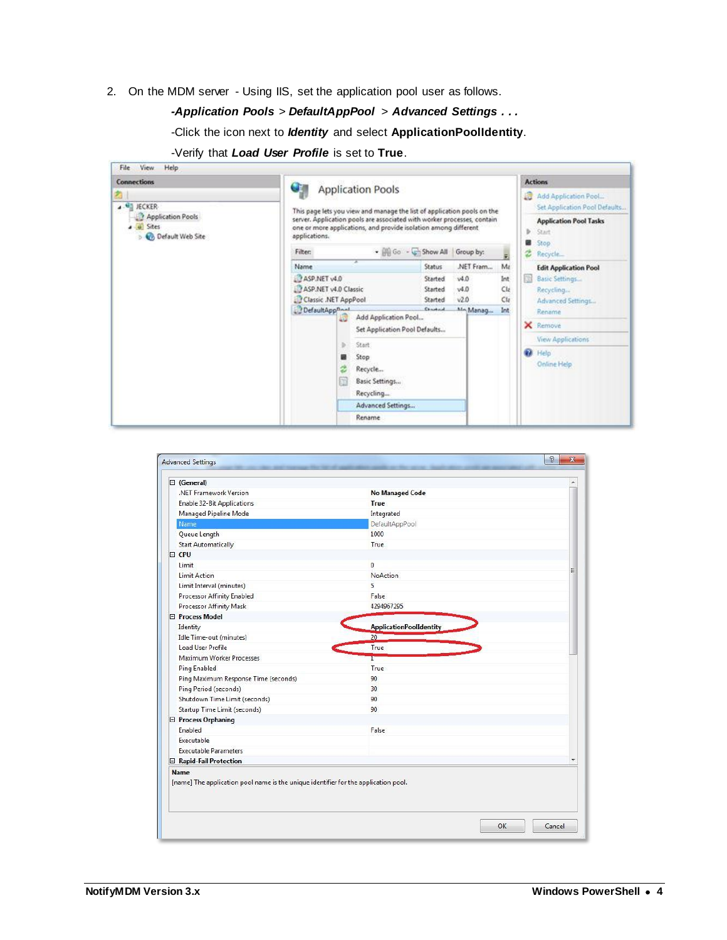2. On the MDM server - Using IIS, set the application pool user as follows.

#### *-Application Pools* > *DefaultAppPool* > *Advanced Settings . . .*

-Click the icon next to *Identity* and select **ApplicationPoolIdentity**.

| <b>Connections</b>                                 | Œ                                                                                                                                                           |                           |                        | <b>Actions</b>                                        |
|----------------------------------------------------|-------------------------------------------------------------------------------------------------------------------------------------------------------------|---------------------------|------------------------|-------------------------------------------------------|
| 4 G JECKER                                         | <b>Application Pools</b><br>This page lets you view and manage the list of application pools on the                                                         |                           |                        | Add Application Pool<br>Set Application Pool Defaults |
| Application Pools<br>a a Sites<br>Default Web Site | server. Application pools are associated with worker processes, contain<br>one or more applications, and provide isolation among different<br>applications. |                           |                        | <b>Application Pool Tasks</b><br><b>Start</b>         |
|                                                    | <b>Filter:</b>                                                                                                                                              | - Go - Chow All Group by: | $\tilde{\mathbf{r}}_i$ | Stop<br>z<br>Recycle                                  |
|                                                    | Name                                                                                                                                                        | .NET Fram<br>Status       | Ma                     | <b>Edit Application Pool</b>                          |
|                                                    | ASP.NET v4.0                                                                                                                                                | v4.0<br>Started           | Int                    | Basic Settings                                        |
|                                                    | ASP.NET v4.0 Classic                                                                                                                                        | v4.0<br>Started           | Cla                    | Recycling                                             |
|                                                    | Classic .NET AppPool                                                                                                                                        | v2.0<br>Started           | Cla                    | Advanced Settings                                     |
|                                                    | DefaultApp <sup>Daal</sup><br>Add Application Pool                                                                                                          | Chairbaid<br>MA Manag     | Int                    | Rename                                                |
|                                                    | 4ú<br>Set Application Pool Defaults                                                                                                                         |                           |                        | <b>X</b> Remove                                       |
|                                                    | ь<br>Start                                                                                                                                                  |                           |                        | <b>View Applications</b>                              |
|                                                    | Stop                                                                                                                                                        |                           |                        | <b>B</b> Help                                         |
|                                                    | Recycle<br>z                                                                                                                                                |                           |                        | Online Help                                           |
|                                                    | Basic Settings                                                                                                                                              |                           |                        |                                                       |
|                                                    |                                                                                                                                                             |                           |                        |                                                       |
|                                                    | Recycling                                                                                                                                                   |                           |                        |                                                       |
|                                                    | Advanced Settings                                                                                                                                           |                           |                        |                                                       |
|                                                    | Rename                                                                                                                                                      |                           |                        |                                                       |

| -Verify that Load User Profile is set to True. |  |  |  |  |  |  |  |
|------------------------------------------------|--|--|--|--|--|--|--|
|------------------------------------------------|--|--|--|--|--|--|--|

| General)                             |                                | ۸ |
|--------------------------------------|--------------------------------|---|
| .NET Framework Version               | No Managed Code                |   |
| <b>Enable 32-Bit Applications</b>    | True                           |   |
| <b>Managed Pipeline Mode</b>         | Integrated                     |   |
| Name                                 | DefaultAppPool                 |   |
| Queue Length                         | 1000                           |   |
| <b>Start Automatically</b>           | True                           |   |
| FL CPU                               |                                |   |
| I imit                               | $\mathbf{0}$                   |   |
| <b>Limit Action</b>                  | <b>NoAction</b>                |   |
| Limit Interval (minutes)             | 5                              |   |
| Processor Affinity Enabled           | False                          |   |
| <b>Processor Affinity Mask</b>       | 4294967295                     |   |
| <b>E</b> Process Model               |                                |   |
| Identity                             | <b>ApplicationPoolIdentity</b> |   |
| Idle Time-out (minutes)              | 20                             |   |
| Load User Profile                    | True                           |   |
| Maximum Worker Processes             |                                |   |
| <b>Ping Enabled</b>                  | True                           |   |
| Ping Maximum Response Time (seconds) | 90                             |   |
| Ping Period (seconds)                | 30 <sup>°</sup>                |   |
| Shutdown Time Limit (seconds)        | 90                             |   |
| Startup Time Limit (seconds)         | 90                             |   |
| □ Process Orphaning                  |                                |   |
| Enabled                              | False                          |   |
| Executable                           |                                |   |
| <b>Executable Parameters</b>         |                                |   |
| □ Rapid-Fail Protection              |                                |   |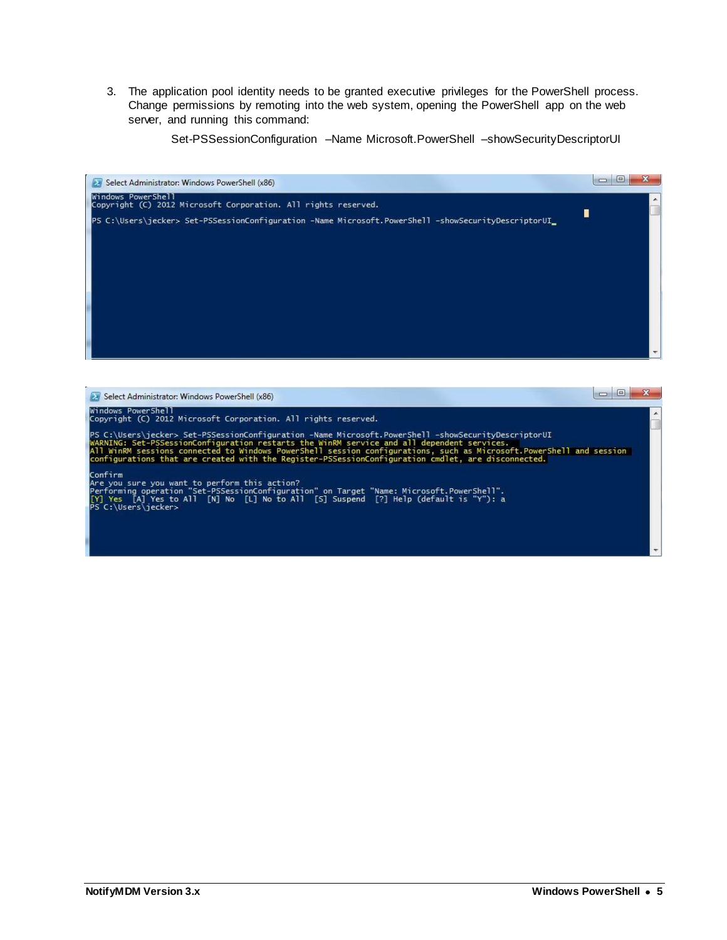3. The application pool identity needs to be granted executive privileges for the PowerShell process. Change permissions by remoting into the web system, opening the PowerShell app on the web server, and running this command:

Set-PSSessionConfiguration –Name Microsoft.PowerShell –showSecurityDescriptorUI



| Select Administrator: Windows PowerShell (x86)                                                                                                                                                                                                                                                                                                                                                                                 |  |
|--------------------------------------------------------------------------------------------------------------------------------------------------------------------------------------------------------------------------------------------------------------------------------------------------------------------------------------------------------------------------------------------------------------------------------|--|
| Windows PowerShell<br>Copyright (C) 2012 Microsoft Corporation. All rights reserved.                                                                                                                                                                                                                                                                                                                                           |  |
| PS C:\Users\jecker> Set-PSSessionConfiguration -Name Microsoft.PowerShell -showSecurityDescriptorUI<br>WARNING: Set-PSSessionConfiguration restarts the WinRM service and all dependent services.<br>All WinRM sessions connected to Windows PowerShell session configurations, such as Microsoft,PowerShell and session<br>configurations that are created with the Register-PSSessionConfiguration cmdlet, are disconnected. |  |
| Confirm<br>Are you sure you want to perform this action?<br>Performing operation "Set-PSSessionConfiguration" on Target "Name: Microsoft.PowerShell".<br>[Y] Yes [A] Yes to All [N] No [L] No to All [S] Suspend [?] Help (default is "Y"): a<br>PS C:\Users\jecker>                                                                                                                                                           |  |
|                                                                                                                                                                                                                                                                                                                                                                                                                                |  |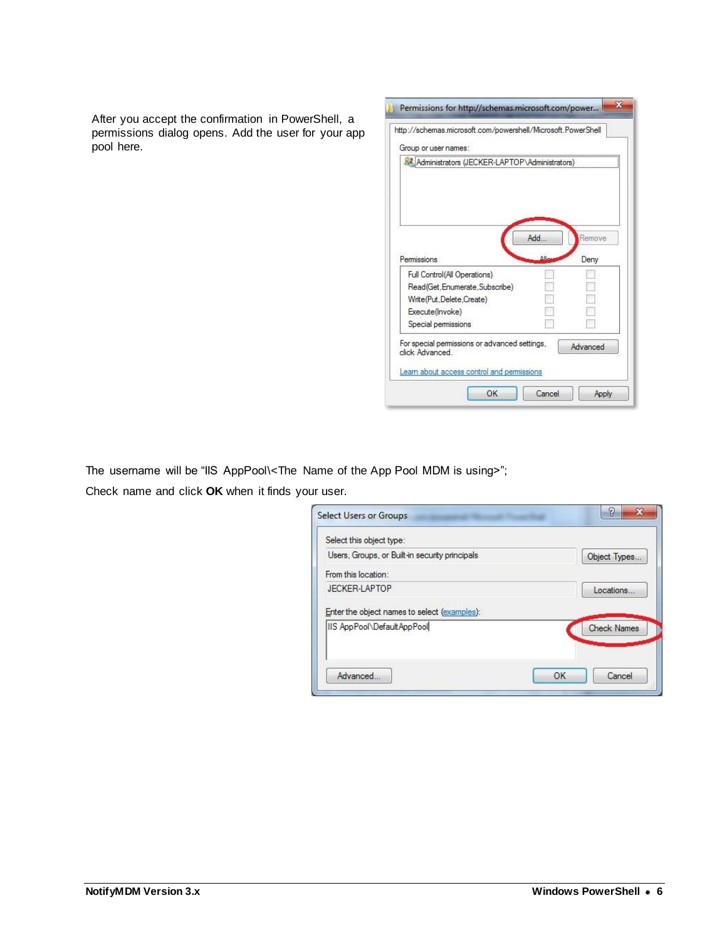After you accept the confirmation in PowerShell, a permissions dialog opens. Add the user for your app pool here.

| http://schemas.microsoft.com/powershell/Microsoft.PowerShell                                                  |                      |
|---------------------------------------------------------------------------------------------------------------|----------------------|
| Group or user names:                                                                                          |                      |
| Administrators (JECKER-LAPTOP\Administrators)                                                                 |                      |
|                                                                                                               |                      |
|                                                                                                               |                      |
|                                                                                                               |                      |
|                                                                                                               |                      |
|                                                                                                               |                      |
|                                                                                                               | Add<br>Remove        |
|                                                                                                               |                      |
|                                                                                                               |                      |
|                                                                                                               | $\Delta$ lla<br>Deny |
| Full Control(All Operations)                                                                                  |                      |
| Read(Get, Enumerate, Subscribe)                                                                               |                      |
| Permissions<br>Write(Put,Delete,Create)                                                                       |                      |
|                                                                                                               |                      |
| Execute(Invoke)                                                                                               |                      |
| Special permissions                                                                                           |                      |
|                                                                                                               | Advanced             |
|                                                                                                               |                      |
| For special permissions or advanced settings,<br>click Advanced<br>Learn about access control and permissions |                      |

The username will be "IIS AppPool\<The Name of the App Pool MDM is using>";

Check name and click **OK** when it finds your user.

| Select this object type:                                                   |                    |  |
|----------------------------------------------------------------------------|--------------------|--|
| Users, Groups, or Built-in security principals                             | Object Types.      |  |
| From this location:                                                        |                    |  |
| JECKER-LAPTOP                                                              | Locations          |  |
|                                                                            |                    |  |
|                                                                            |                    |  |
|                                                                            | <b>Check Names</b> |  |
| Enter the object names to select (examples):<br>IIS AppPool\DefaultAppPool |                    |  |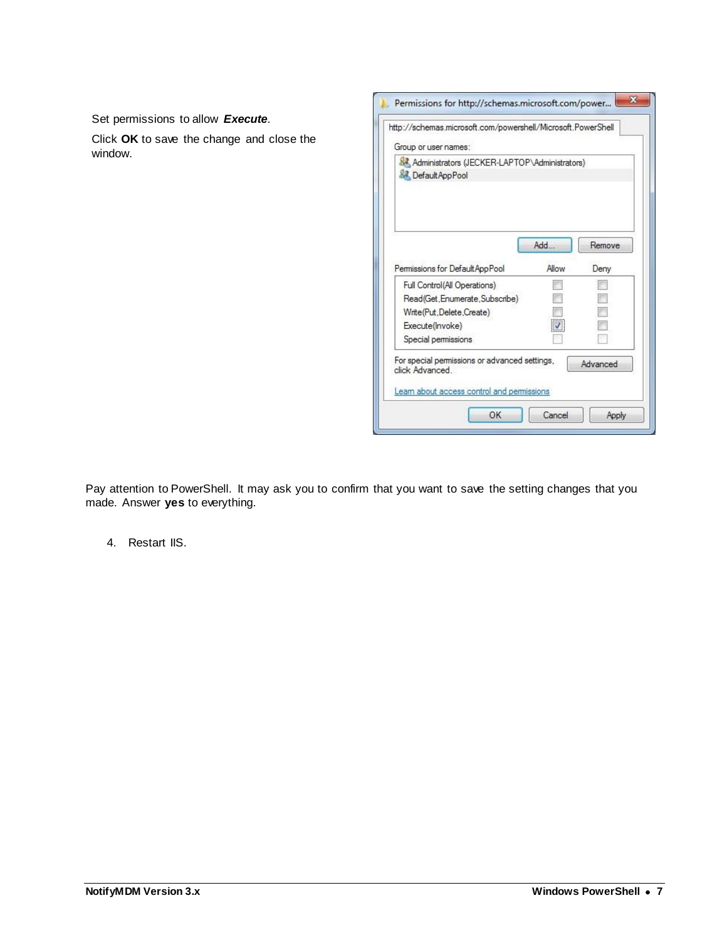$\mathbf{z}$ Permissions for http://schemas.microsoft.com/power... Set permissions to allow *Execute*. http://schemas.microsoft.com/powershell/Microsoft.PowerShell Click **OK** to save the change and close the Group or user names: window. 82 Administrators (JECKER-LAPTOP\Administrators) **R2** Default App Pool Add... Remove Permissions for DefaultAppPool Allow Deny Full Control(All Operations)  $\overline{\mathbb{R}}$  $\overline{\mathbb{P}^n}$ Read(Get, Enumerate, Subscribe) F.  $\overline{\mathbb{R}}$  $\begin{bmatrix} 1 \\ 1 \end{bmatrix}$  $\Box$ Write(Put,Delete,Create)  $\overline{\mathcal{A}}$  $\overline{\mathbb{R}^n}$ Execute(Invoke) Special permissions B. П For special permissions or advanced settings, Advanced click Advanced. Learn about access control and permissions

Pay attention to PowerShell. It may ask you to confirm that you want to save the setting changes that you made. Answer **yes** to everything.

OK

Cancel

Apply

4. Restart IIS.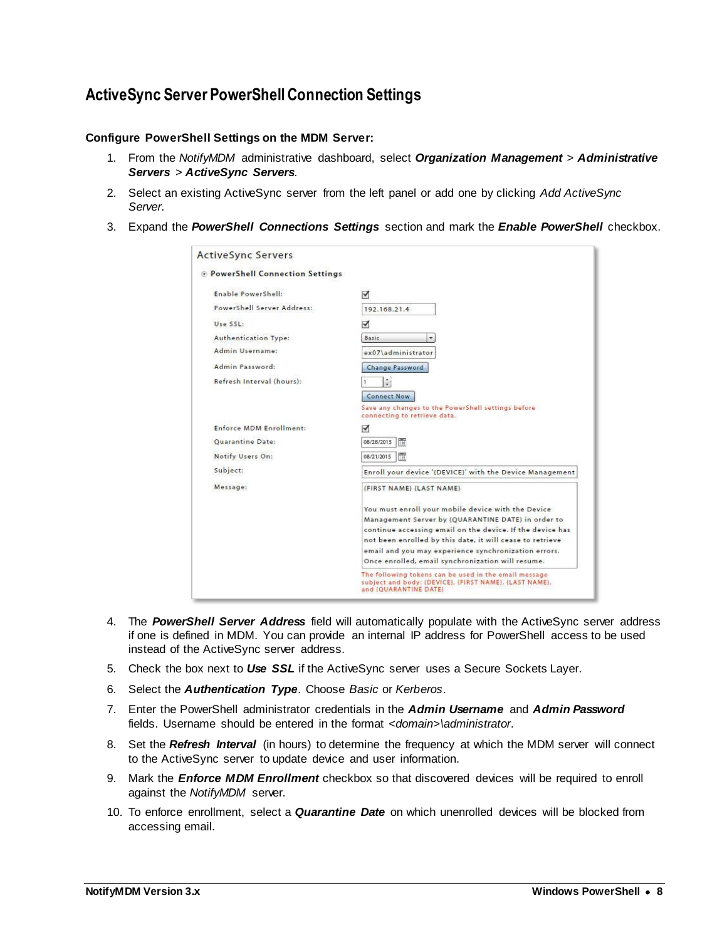## <span id="page-7-0"></span>**ActiveSync Server PowerShell Connection Settings**

#### **Configure PowerShell Settings on the MDM Server:**

- 1. From the *NotifyMDM* administrative dashboard, select *Organization Management* > *Administrative Servers* > *ActiveSync Servers*.
- 2. Select an existing ActiveSync server from the left panel or add one by clicking *Add ActiveSync Server*.
- 3. Expand the *PowerShell Connections Settings* section and mark the *Enable PowerShell* checkbox.

| <b>D</b> PowerShell Connection Settings |                                                                                                                 |
|-----------------------------------------|-----------------------------------------------------------------------------------------------------------------|
|                                         |                                                                                                                 |
| Enable PowerShell:                      | √                                                                                                               |
| PowerShell Server Address:              | 192.168.21.4                                                                                                    |
| Use SSL:                                | √                                                                                                               |
| <b>Authentication Type:</b>             | Basic.                                                                                                          |
| Admin Username:                         | ex07\administrator                                                                                              |
| Admin Password:                         | Change Password                                                                                                 |
| Refresh Interval (hours):               | $\frac{1}{x}$                                                                                                   |
|                                         | <b>Connect Now</b>                                                                                              |
|                                         | Save any changes to the PowerShell settings before<br>connecting to retrieve data.                              |
| Enforce MDM Enrollment:                 | ✔                                                                                                               |
| <b>Ouarantine Date:</b>                 | 08/28/2015<br>Ħ                                                                                                 |
| Notify Users On:                        | 厝<br>08/21/2015                                                                                                 |
| Subject:                                | Enroll your device '{DEVICE}' with the Device Management                                                        |
| Message:                                | (FIRST NAME) (LAST NAME)                                                                                        |
|                                         | You must enroll your mobile device with the Device                                                              |
|                                         | Management Server by {QUARANTINE DATE} in order to                                                              |
|                                         | continue accessing email on the device. If the device has                                                       |
|                                         | not been enrolled by this date, it will cease to retrieve                                                       |
|                                         | email and you may experience synchronization errors.                                                            |
|                                         | Once enrolled, email synchronization will resume.                                                               |
|                                         | The following tokens can be used in the email message<br>subject and body: {DEVICE}, {FIRST NAME}, {LAST NAME}, |

- 4. The *PowerShell Server Address* field will automatically populate with the ActiveSync server address if one is defined in MDM. You can provide an internal IP address for PowerShell access to be used instead of the ActiveSync server address.
- 5. Check the box next to *Use SSL* if the ActiveSync server uses a Secure Sockets Layer.
- 6. Select the *Authentication Type*. Choose *Basic* or *Kerberos*.
- 7. Enter the PowerShell administrator credentials in the *Admin Username* and *Admin Password* fields. Username should be entered in the format *<domain>\administrator*.
- 8. Set the *Refresh Interval* (in hours) to determine the frequency at which the MDM server will connect to the ActiveSync server to update device and user information.
- 9. Mark the *Enforce MDM Enrollment* checkbox so that discovered devices will be required to enroll against the *NotifyMDM* server.
- 10. To enforce enrollment, select a *Quarantine Date* on which unenrolled devices will be blocked from accessing email.